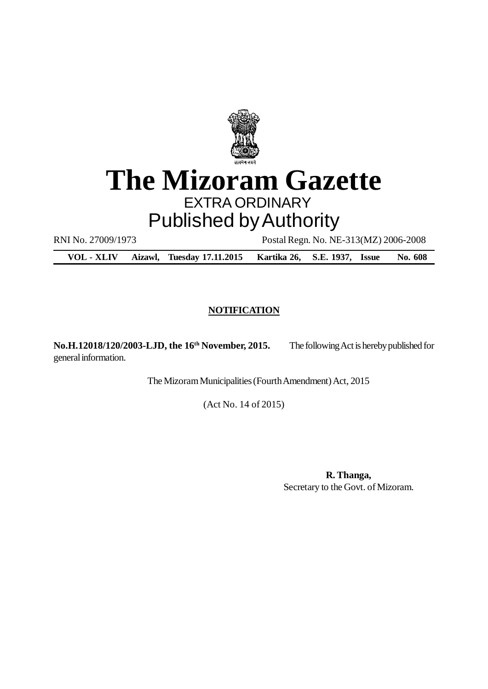

# **The Mizoram Gazette** EXTRA ORDINARY Published by Authority

RNI No. 27009/1973 Postal Regn. No. NE-313(MZ) 2006-2008

**VOL - XLIV Aizawl, Tuesday 17.11.2015 Kartika 26, S.E. 1937, Issue No. 608**

# **NOTIFICATION**

**No.H.12018/120/2003-LJD, the 16th November, 2015.** The following Act is hereby published for general information.

The Mizoram Municipalities (Fourth Amendment) Act, 2015

(Act No. 14 of 2015)

**R. Thanga,** Secretary to the Govt. of Mizoram.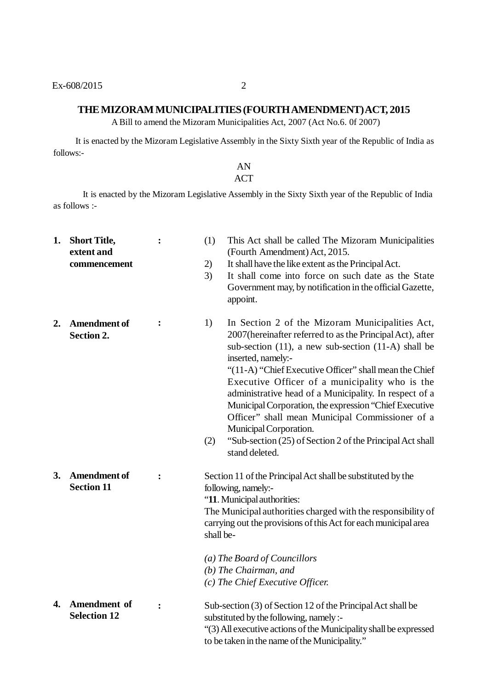#### **THE MIZORAM MUNICIPALITIES (FOURTH AMENDMENT) ACT, 2015**

A Bill to amend the Mizoram Municipalities Act, 2007 (Act No.6. 0f 2007)

It is enacted by the Mizoram Legislative Assembly in the Sixty Sixth year of the Republic of India as follows:-

# AN

# **ACT**

It is enacted by the Mizoram Legislative Assembly in the Sixty Sixth year of the Republic of India as follows :-

**1. Short Title, extent and commencement 2. Amendment of Section 2. 3. Amendment of Section 11 4. Amendment of Selection 12 :** (1) This Act shall be called The Mizoram Municipalities (Fourth Amendment) Act, 2015. 2) It shall have the like extent as the Principal Act. 3) It shall come into force on such date as the State Government may, by notification in the official Gazette, appoint. **:** 1) In Section 2 of the Mizoram Municipalities Act, 2007(hereinafter referred to as the Principal Act), after sub-section (11), a new sub-section (11-A) shall be inserted, namely:- "(11-A) "Chief Executive Officer" shall mean the Chief Executive Officer of a municipality who is the administrative head of a Municipality. In respect of a Municipal Corporation, the expression "Chief Executive Officer" shall mean Municipal Commissioner of a Municipal Corporation. (2) "Sub-section (25) of Section 2 of the Principal Act shall stand deleted. **:** Section 11 of the Principal Act shall be substituted by the following, namely:- "**11**. Municipal authorities: The Municipal authorities charged with the responsibility of carrying out the provisions of this Act for each municipal area shall be- *(a) The Board of Councillors (b) The Chairman, and (c) The Chief Executive Officer.* **:** Sub-section (3) of Section 12 of the Principal Act shall be substituted by the following, namely :- "(3) All executive actions of the Municipality shall be expressed to be taken in the name of the Municipality."